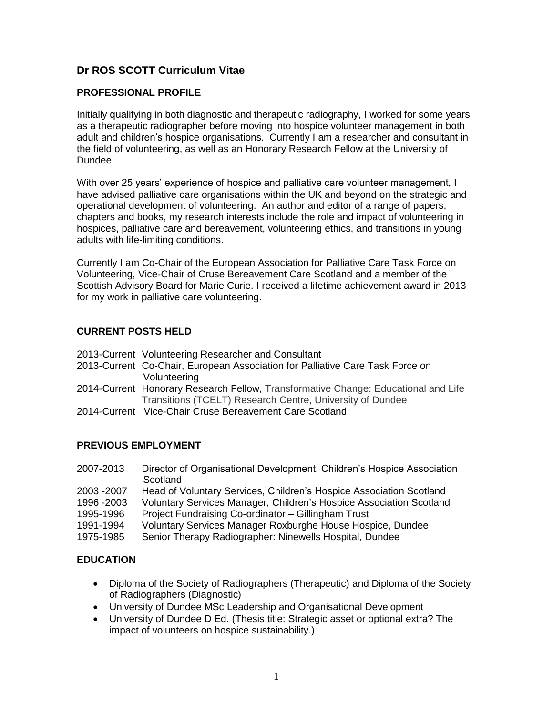# **Dr ROS SCOTT Curriculum Vitae**

#### **PROFESSIONAL PROFILE**

Initially qualifying in both diagnostic and therapeutic radiography, I worked for some years as a therapeutic radiographer before moving into hospice volunteer management in both adult and children's hospice organisations. Currently I am a researcher and consultant in the field of volunteering, as well as an Honorary Research Fellow at the University of Dundee.

With over 25 years' experience of hospice and palliative care volunteer management, I have advised palliative care organisations within the UK and beyond on the strategic and operational development of volunteering. An author and editor of a range of papers, chapters and books, my research interests include the role and impact of volunteering in hospices, palliative care and bereavement, volunteering ethics, and transitions in young adults with life-limiting conditions.

Currently I am Co-Chair of the European Association for Palliative Care Task Force on Volunteering, Vice-Chair of Cruse Bereavement Care Scotland and a member of the Scottish Advisory Board for Marie Curie. I received a lifetime achievement award in 2013 for my work in palliative care volunteering.

### **CURRENT POSTS HELD**

- 2013-Current Volunteering Researcher and Consultant
- 2013-Current Co-Chair, European Association for Palliative Care Task Force on Volunteering
- 2014-Current Honorary Research Fellow, Transformative Change: Educational and Life Transitions (TCELT) Research Centre, University of Dundee
- 2014-Current Vice-Chair Cruse Bereavement Care Scotland

### **PREVIOUS EMPLOYMENT**

| 2007-2013   | Director of Organisational Development, Children's Hospice Association<br>Scotland |
|-------------|------------------------------------------------------------------------------------|
| 2003 -2007  | Head of Voluntary Services, Children's Hospice Association Scotland                |
| 1996 - 2003 | Voluntary Services Manager, Children's Hospice Association Scotland                |
| 1995-1996   | Project Fundraising Co-ordinator - Gillingham Trust                                |
| 1991-1994   | Voluntary Services Manager Roxburghe House Hospice, Dundee                         |
| 1975-1985   | Senior Therapy Radiographer: Ninewells Hospital, Dundee                            |

### **EDUCATION**

- Diploma of the Society of Radiographers (Therapeutic) and Diploma of the Society of Radiographers (Diagnostic)
- University of Dundee MSc Leadership and Organisational Development
- University of Dundee D Ed. (Thesis title: Strategic asset or optional extra? The impact of volunteers on hospice sustainability.)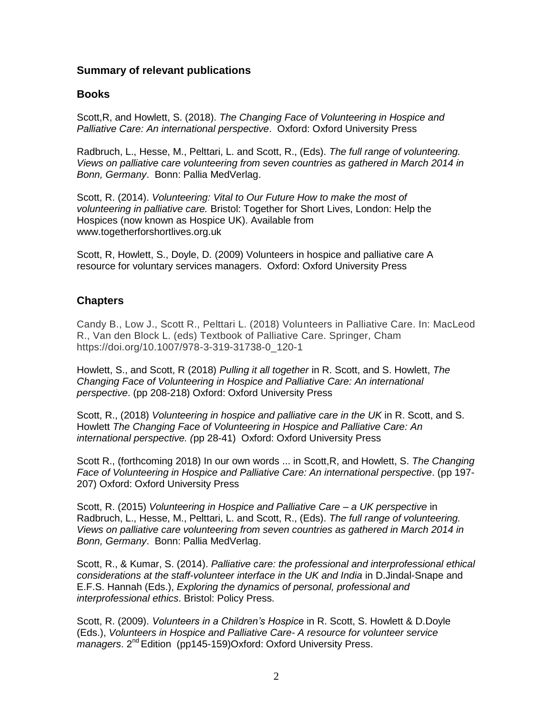## **Summary of relevant publications**

### **Books**

Scott,R, and Howlett, S. (2018). *The Changing Face of Volunteering in Hospice and Palliative Care: An international perspective*. Oxford: Oxford University Press

Radbruch, L., Hesse, M., Pelttari, L. and Scott, R., (Eds). *The full range of volunteering. Views on palliative care volunteering from seven countries as gathered in March 2014 in Bonn, Germany*. Bonn: Pallia MedVerlag.

Scott, R. (2014). *Volunteering: Vital to Our Future How to make the most of volunteering in palliative care.* Bristol: Together for Short Lives, London: Help the Hospices (now known as Hospice UK). Available from www.togetherforshortlives.org.uk

Scott, R, Howlett, S., Doyle, D. (2009) Volunteers in hospice and palliative care A resource for voluntary services managers. Oxford: Oxford University Press

# **Chapters**

Candy B., Low J., Scott R., Pelttari L. (2018) Volunteers in Palliative Care. In: MacLeod R., Van den Block L. (eds) Textbook of Palliative Care. Springer, Cham https://doi.org/10.1007/978-3-319-31738-0\_120-1

Howlett, S., and Scott, R (2018) *Pulling it all together* in R. Scott, and S. Howlett, *The Changing Face of Volunteering in Hospice and Palliative Care: An international perspective*. (pp 208-218) Oxford: Oxford University Press

Scott, R., (2018) *Volunteering in hospice and palliative care in the UK* in R. Scott, and S. Howlett *The Changing Face of Volunteering in Hospice and Palliative Care: An international perspective. (*pp 28-41) Oxford: Oxford University Press

Scott R., (forthcoming 2018) In our own words ... in Scott,R, and Howlett, S. *The Changing Face of Volunteering in Hospice and Palliative Care: An international perspective*. (pp 197- 207) Oxford: Oxford University Press

Scott, R. (2015) *Volunteering in Hospice and Palliative Care – a UK perspective* in Radbruch, L., Hesse, M., Pelttari, L. and Scott, R., (Eds). *The full range of volunteering. Views on palliative care volunteering from seven countries as gathered in March 2014 in Bonn, Germany*. Bonn: Pallia MedVerlag.

Scott, R., & Kumar, S. (2014). *Palliative care: the professional and interprofessional ethical considerations at the staff-volunteer interface in the UK and India* in D.Jindal-Snape and E.F.S. Hannah (Eds.), *Exploring the dynamics of personal, professional and interprofessional ethics*. Bristol: Policy Press.

Scott, R. (2009). *Volunteers in a Children's Hospice* in R. Scott, S. Howlett & D.Doyle (Eds.), *Volunteers in Hospice and Palliative Care- A resource for volunteer service managers.* 2<sup>nd</sup> Edition (pp145-159)Oxford: Oxford University Press.